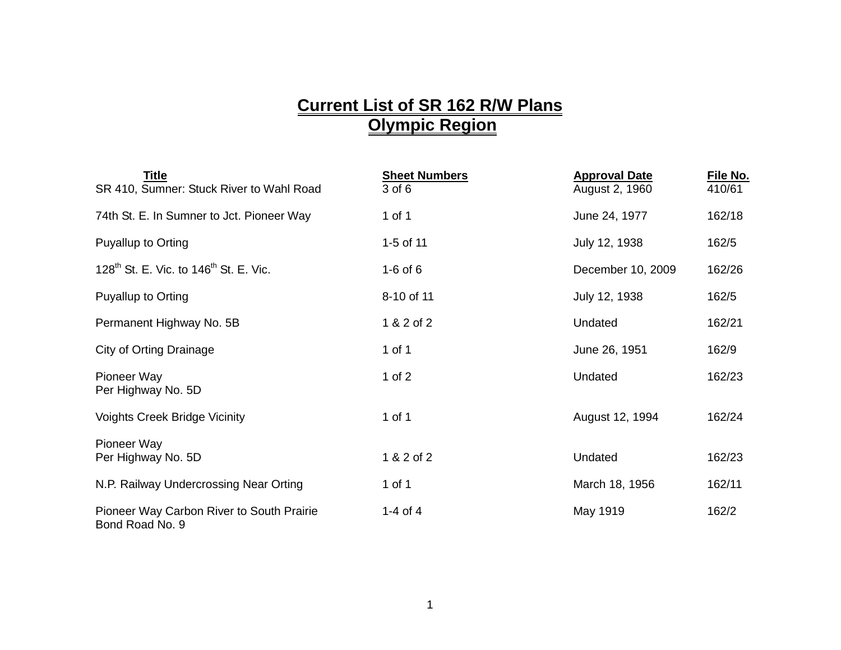## **Current List of SR 162 R/W Plans Olympic Region**

| <b>Title</b><br>SR 410, Sumner: Stuck River to Wahl Road       | <b>Sheet Numbers</b><br>3 of 6 | <b>Approval Date</b><br>August 2, 1960 | File No.<br>410/61 |
|----------------------------------------------------------------|--------------------------------|----------------------------------------|--------------------|
| 74th St. E. In Sumner to Jct. Pioneer Way                      | 1 of 1                         | June 24, 1977                          | 162/18             |
| Puyallup to Orting                                             | 1-5 of 11                      | July 12, 1938                          | 162/5              |
| 128 <sup>th</sup> St. E. Vic. to 146 <sup>th</sup> St. E. Vic. | $1-6$ of $6$                   | December 10, 2009                      | 162/26             |
| Puyallup to Orting                                             | 8-10 of 11                     | July 12, 1938                          | 162/5              |
| Permanent Highway No. 5B                                       | 1 & 2 of 2                     | Undated                                | 162/21             |
| <b>City of Orting Drainage</b>                                 | 1 of 1                         | June 26, 1951                          | 162/9              |
| Pioneer Way<br>Per Highway No. 5D                              | 1 of $2$                       | Undated                                | 162/23             |
| <b>Voights Creek Bridge Vicinity</b>                           | 1 of 1                         | August 12, 1994                        | 162/24             |
| Pioneer Way<br>Per Highway No. 5D                              | 1 & 2 of 2                     | Undated                                | 162/23             |
| N.P. Railway Undercrossing Near Orting                         | 1 of 1                         | March 18, 1956                         | 162/11             |
| Pioneer Way Carbon River to South Prairie<br>Bond Road No. 9   | 1-4 of 4                       | May 1919                               | 162/2              |